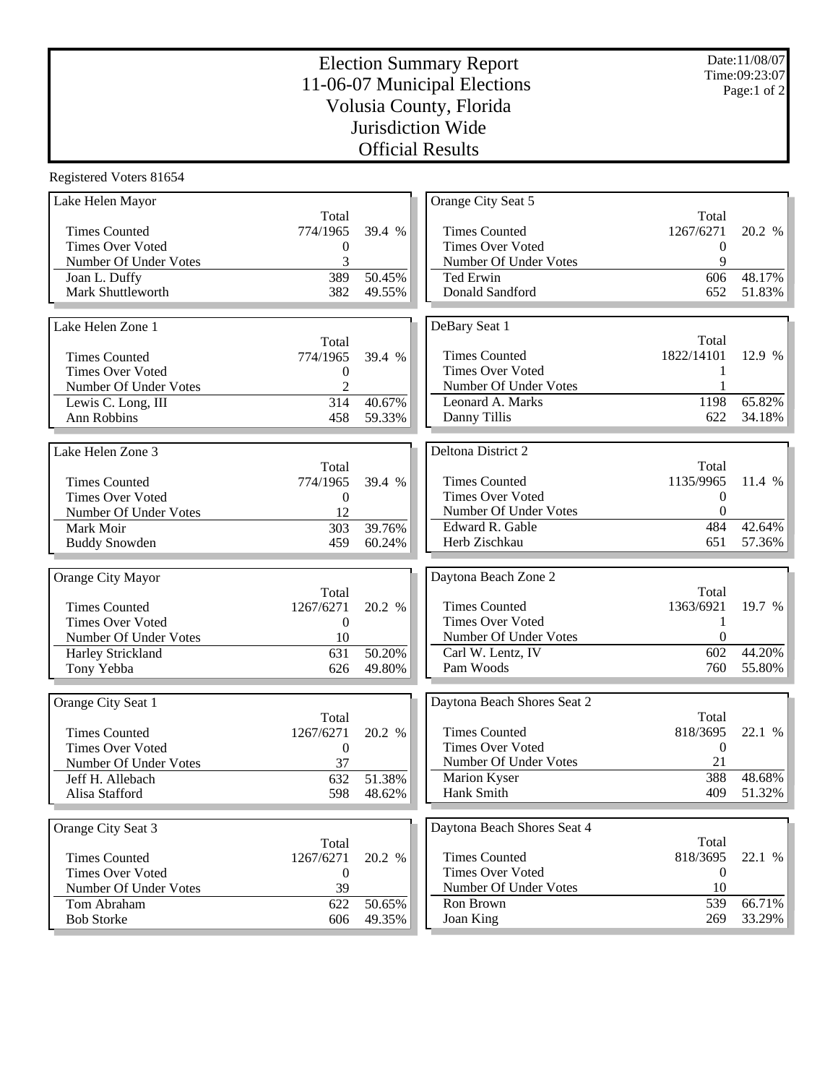## Election Summary Report 11-06-07 Municipal Elections Volusia County, Florida Jurisdiction Wide Official Results

Registered Voters 81654

| Lake Helen Mayor                 |                  |                  | Orange City Seat 5          |                  |                  |
|----------------------------------|------------------|------------------|-----------------------------|------------------|------------------|
|                                  | Total            |                  |                             | Total            |                  |
| <b>Times Counted</b>             | 774/1965         | 39.4 %           | <b>Times Counted</b>        | 1267/6271        | 20.2 %           |
| <b>Times Over Voted</b>          | $\boldsymbol{0}$ |                  | <b>Times Over Voted</b>     | $\boldsymbol{0}$ |                  |
| Number Of Under Votes            | 3                |                  | Number Of Under Votes       | 9                |                  |
| Joan L. Duffy                    | 389              | 50.45%           | Ted Erwin                   | 606              | 48.17%           |
| Mark Shuttleworth                | 382              | 49.55%           | Donald Sandford             | 652              | 51.83%           |
|                                  |                  |                  |                             |                  |                  |
| Lake Helen Zone 1                |                  |                  | DeBary Seat 1               |                  |                  |
|                                  | Total            |                  |                             | Total            |                  |
| <b>Times Counted</b>             | 774/1965         | 39.4 %           | <b>Times Counted</b>        | 1822/14101       | 12.9 %           |
| <b>Times Over Voted</b>          | $\boldsymbol{0}$ |                  | <b>Times Over Voted</b>     |                  |                  |
| Number Of Under Votes            | $\overline{c}$   |                  | Number Of Under Votes       |                  |                  |
| Lewis C. Long, III               | 314              | 40.67%           | Leonard A. Marks            | 1198             | 65.82%           |
| Ann Robbins                      | 458              | 59.33%           | Danny Tillis                | 622              | 34.18%           |
|                                  |                  |                  |                             |                  |                  |
|                                  |                  |                  |                             |                  |                  |
| Lake Helen Zone 3                |                  |                  | Deltona District 2          |                  |                  |
|                                  | Total            |                  |                             | Total            |                  |
| <b>Times Counted</b>             | 774/1965         | 39.4 %           | <b>Times Counted</b>        | 1135/9965        | 11.4 %           |
| <b>Times Over Voted</b>          | $\mathbf{0}$     |                  | <b>Times Over Voted</b>     | $\theta$         |                  |
| Number Of Under Votes            | 12               |                  | Number Of Under Votes       | $\theta$         |                  |
| Mark Moir                        | 303              | 39.76%           | Edward R. Gable             | 484              | 42.64%           |
| <b>Buddy Snowden</b>             | 459              | 60.24%           | Herb Zischkau               | 651              | 57.36%           |
|                                  |                  |                  |                             |                  |                  |
|                                  |                  |                  |                             |                  |                  |
| Orange City Mayor                |                  |                  | Daytona Beach Zone 2        |                  |                  |
|                                  | Total            |                  |                             | Total            |                  |
| <b>Times Counted</b>             | 1267/6271        | 20.2 %           | <b>Times Counted</b>        | 1363/6921        | 19.7 %           |
| <b>Times Over Voted</b>          | $\boldsymbol{0}$ |                  | <b>Times Over Voted</b>     | 1                |                  |
| Number Of Under Votes            | 10               |                  | Number Of Under Votes       | $\theta$         |                  |
|                                  | 631              | 50.20%           | Carl W. Lentz, IV           | 602              | 44.20%           |
| Harley Strickland                | 626              | 49.80%           | Pam Woods                   | 760              | 55.80%           |
| Tony Yebba                       |                  |                  |                             |                  |                  |
|                                  |                  |                  |                             |                  |                  |
| Orange City Seat 1               |                  |                  | Daytona Beach Shores Seat 2 |                  |                  |
|                                  | Total            |                  |                             | Total            |                  |
| <b>Times Counted</b>             | 1267/6271        | 20.2 %           | <b>Times Counted</b>        | 818/3695         | 22.1 %           |
| <b>Times Over Voted</b>          | $\boldsymbol{0}$ |                  | <b>Times Over Voted</b>     | $\boldsymbol{0}$ |                  |
| Number Of Under Votes            | 37               |                  | Number Of Under Votes       | 21               |                  |
| Jeff H. Allebach                 | 632              | 51.38%           | Marion Kyser                | 388              | 48.68%           |
| Alisa Stafford                   | 598              | 48.62%           | Hank Smith                  | 409              | 51.32%           |
|                                  |                  |                  |                             |                  |                  |
| Orange City Seat 3               |                  |                  | Daytona Beach Shores Seat 4 |                  |                  |
|                                  | Total            |                  |                             | Total            |                  |
| <b>Times Counted</b>             | 1267/6271        | 20.2 %           | <b>Times Counted</b>        | 818/3695         | 22.1 %           |
| <b>Times Over Voted</b>          | $\boldsymbol{0}$ |                  | <b>Times Over Voted</b>     | $\boldsymbol{0}$ |                  |
| Number Of Under Votes            | 39               |                  | Number Of Under Votes       | 10               |                  |
| Tom Abraham<br><b>Bob Storke</b> | 622<br>606       | 50.65%<br>49.35% | Ron Brown<br>Joan King      | 539<br>269       | 66.71%<br>33.29% |

Date:11/08/07 Time:09:23:07 Page:1 of 2